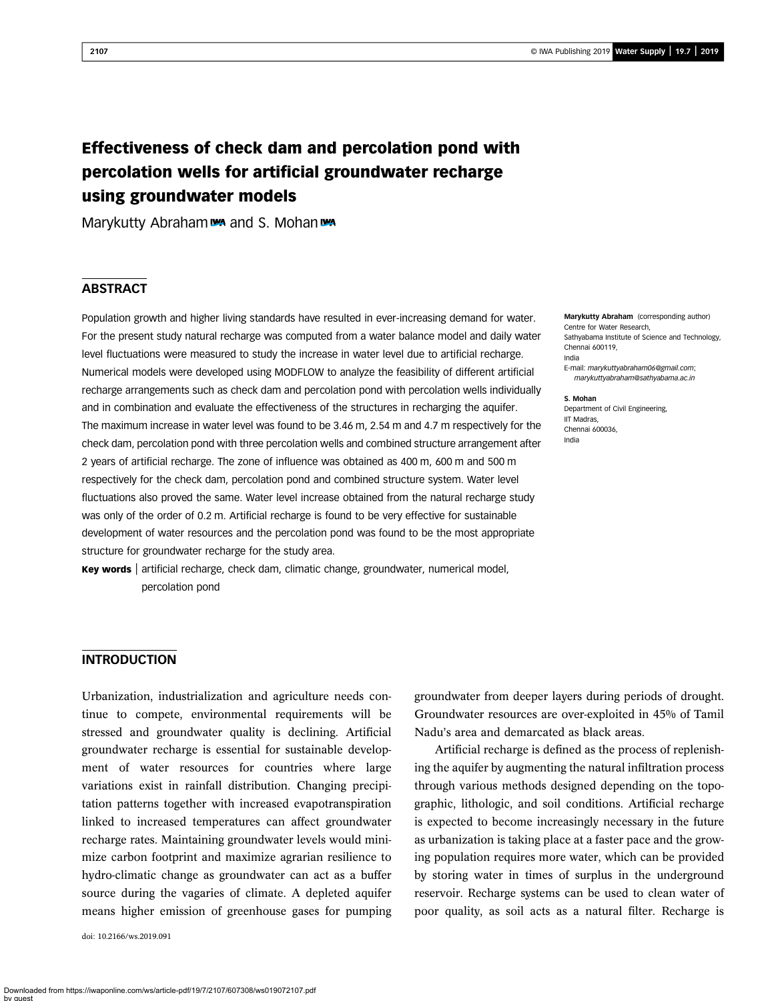# Effectiveness of check dam and percolation pond with percolation wells for artificial groundwater recharge using groundwater models

Marykutty Abraham **WA** and S. Mohan WA

# **ABSTRACT**

Population growth and higher living standards have resulted in ever-increasing demand for water. For the present study natural recharge was computed from a water balance model and daily water level fluctuations were measured to study the increase in water level due to artificial recharge. Numerical models were developed using MODFLOW to analyze the feasibility of different artificial recharge arrangements such as check dam and percolation pond with percolation wells individually and in combination and evaluate the effectiveness of the structures in recharging the aquifer. The maximum increase in water level was found to be 3.46 m, 2.54 m and 4.7 m respectively for the check dam, percolation pond with three percolation wells and combined structure arrangement after 2 years of artificial recharge. The zone of influence was obtained as 400 m, 600 m and 500 m respectively for the check dam, percolation pond and combined structure system. Water level fluctuations also proved the same. Water level increase obtained from the natural recharge study was only of the order of 0.2 m. Artificial recharge is found to be very effective for sustainable development of water resources and the percolation pond was found to be the most appropriate structure for groundwater recharge for the study area.

Key words | artificial recharge, check dam, climatic change, groundwater, numerical model, percolation pond

Marykutty Abraham (corresponding author) Centre for Water Research, Sathyabama Institute of Science and Technology, Chennai 600119, India

E-mail: marykuttyabraham06@gmail.com; marykuttyabraham@sathyabama.ac.in

S. Mohan Department of Civil Engineering, IIT Madras, Chennai 600036, India

# **INTRODUCTION**

Urbanization, industrialization and agriculture needs continue to compete, environmental requirements will be stressed and groundwater quality is declining. Artificial groundwater recharge is essential for sustainable development of water resources for countries where large variations exist in rainfall distribution. Changing precipitation patterns together with increased evapotranspiration linked to increased temperatures can affect groundwater recharge rates. Maintaining groundwater levels would minimize carbon footprint and maximize agrarian resilience to hydro-climatic change as groundwater can act as a buffer source during the vagaries of climate. A depleted aquifer means higher emission of greenhouse gases for pumping

doi: 10.2166/ws.2019.091

groundwater from deeper layers during periods of drought. Groundwater resources are over-exploited in 45% of Tamil Nadu's area and demarcated as black areas.

Artificial recharge is defined as the process of replenishing the aquifer by augmenting the natural infiltration process through various methods designed depending on the topographic, lithologic, and soil conditions. Artificial recharge is expected to become increasingly necessary in the future as urbanization is taking place at a faster pace and the growing population requires more water, which can be provided by storing water in times of surplus in the underground reservoir. Recharge systems can be used to clean water of poor quality, as soil acts as a natural filter. Recharge is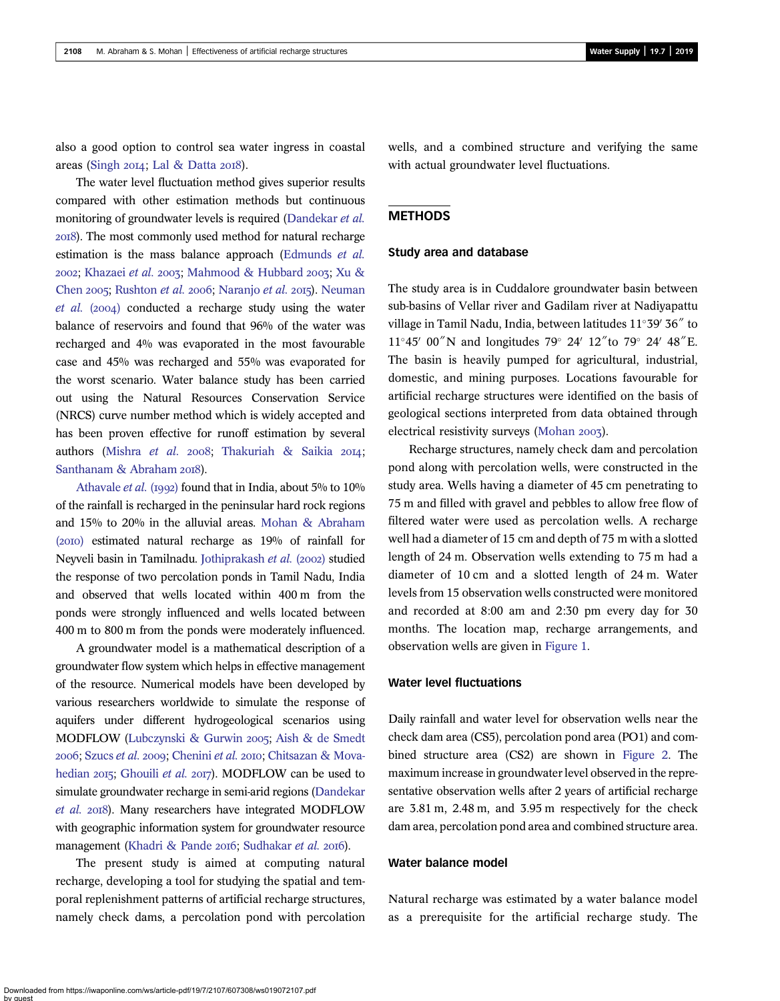also a good option to control sea water ingress in coastal areas (Singh  $20I4$ ; Lal & Datta  $20I8$ ).

The water level fluctuation method gives superior results compared with other estimation methods but continuous monitoring of groundwater levels is required (Dandekar *et al.* ). The most commonly used method for natural recharge estimation is the mass balance approach (Edmunds *et al.* 2002; Khazaei et al. 2003; Mahmood & Hubbard 2003; Xu & Chen 2005; Rushton *et al.* 2006; Naranjo *et al.* 2015). Neuman *et al.* (2004) conducted a recharge study using the water balance of reservoirs and found that 96% of the water was recharged and 4% was evaporated in the most favourable case and 45% was recharged and 55% was evaporated for the worst scenario. Water balance study has been carried out using the Natural Resources Conservation Service (NRCS) curve number method which is widely accepted and has been proven effective for runoff estimation by several authors (Mishra et al. 2008; Thakuriah & Saikia 2014; Santhanam & Abraham 2018).

Athavale *et al.* (1992) found that in India, about 5% to 10% of the rainfall is recharged in the peninsular hard rock regions and 15% to 20% in the alluvial areas. Mohan & Abraham () estimated natural recharge as 19% of rainfall for Neyveli basin in Tamilnadu. Jothiprakash et al. (2002) studied the response of two percolation ponds in Tamil Nadu, India and observed that wells located within 400 m from the ponds were strongly influenced and wells located between 400 m to 800 m from the ponds were moderately influenced.

A groundwater model is a mathematical description of a groundwater flow system which helps in effective management of the resource. Numerical models have been developed by various researchers worldwide to simulate the response of aquifers under different hydrogeological scenarios using MODFLOW (Lubczynski & Gurwin 2005; Aish & de Smedt 2006; Szucs et al. 2009; Chenini et al. 2010; Chitsazan & Movahedian 2015; Ghouili *et al.* 2017). MODFLOW can be used to simulate groundwater recharge in semi-arid regions (Dandekar et al. 2018). Many researchers have integrated MODFLOW with geographic information system for groundwater resource management (Khadri & Pande 2016; Sudhakar et al. 2016).

The present study is aimed at computing natural recharge, developing a tool for studying the spatial and temporal replenishment patterns of artificial recharge structures, namely check dams, a percolation pond with percolation wells, and a combined structure and verifying the same with actual groundwater level fluctuations.

## METHODS

#### Study area and database

The study area is in Cuddalore groundwater basin between sub-basins of Vellar river and Gadilam river at Nadiyapattu village in Tamil Nadu, India, between latitudes  $11^{\circ}39'$  36" to 11°45′ 00″N and longitudes 79° 24′ 12″to 79° 24′ 48″E. The basin is heavily pumped for agricultural, industrial, domestic, and mining purposes. Locations favourable for artificial recharge structures were identified on the basis of geological sections interpreted from data obtained through electrical resistivity surveys (Mohan 2003).

Recharge structures, namely check dam and percolation pond along with percolation wells, were constructed in the study area. Wells having a diameter of 45 cm penetrating to 75 m and filled with gravel and pebbles to allow free flow of filtered water were used as percolation wells. A recharge well had a diameter of 15 cm and depth of 75 m with a slotted length of 24 m. Observation wells extending to 75 m had a diameter of 10 cm and a slotted length of 24 m. Water levels from 15 observation wells constructed were monitored and recorded at 8:00 am and 2:30 pm every day for 30 months. The location map, recharge arrangements, and observation wells are given in Figure 1.

#### Water level fluctuations

Daily rainfall and water level for observation wells near the check dam area (CS5), percolation pond area (PO1) and combined structure area (CS2) are shown in Figure 2. The maximum increase in groundwater level observed in the representative observation wells after 2 years of artificial recharge are 3.81 m, 2.48 m, and 3.95 m respectively for the check dam area, percolation pond area and combined structure area.

#### Water balance model

Natural recharge was estimated by a water balance model as a prerequisite for the artificial recharge study. The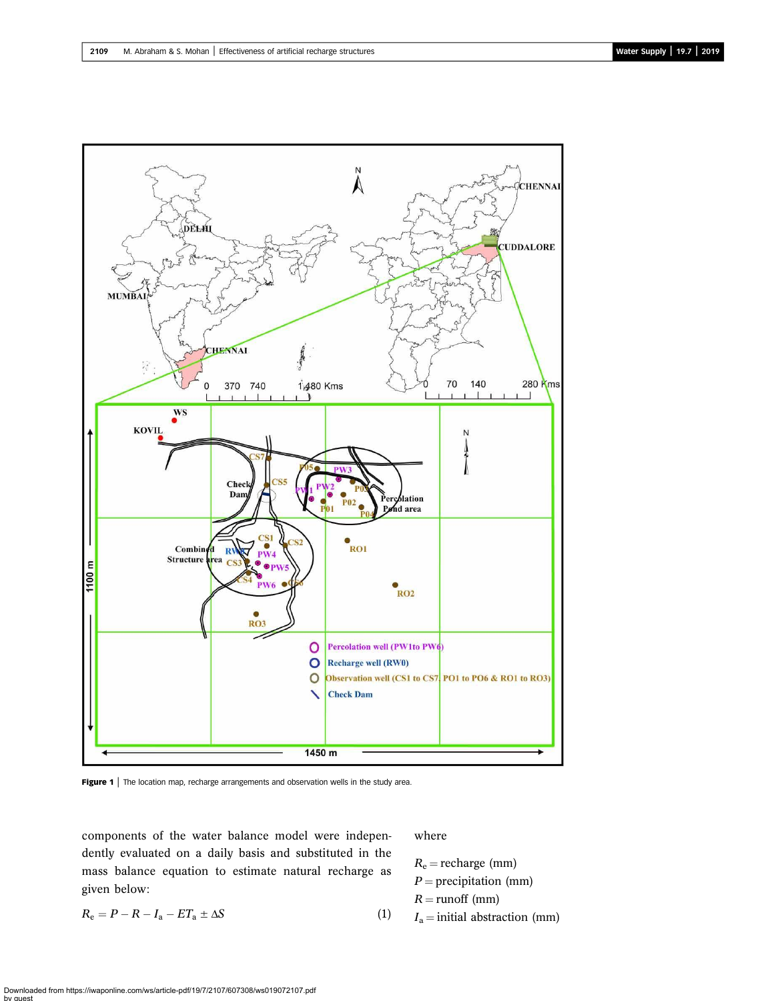

Figure 1 | The location map, recharge arrangements and observation wells in the study area.

components of the water balance model were independently evaluated on a daily basis and substituted in the mass balance equation to estimate natural recharge as given below:

 $R_e = P - R - I_a - ET_a \pm \Delta S$  (1)

## where

 $R_e$  = recharge (mm)  $P =$  precipitation (mm)  $R =$ runoff (mm)  $I_a =$ initial abstraction (mm)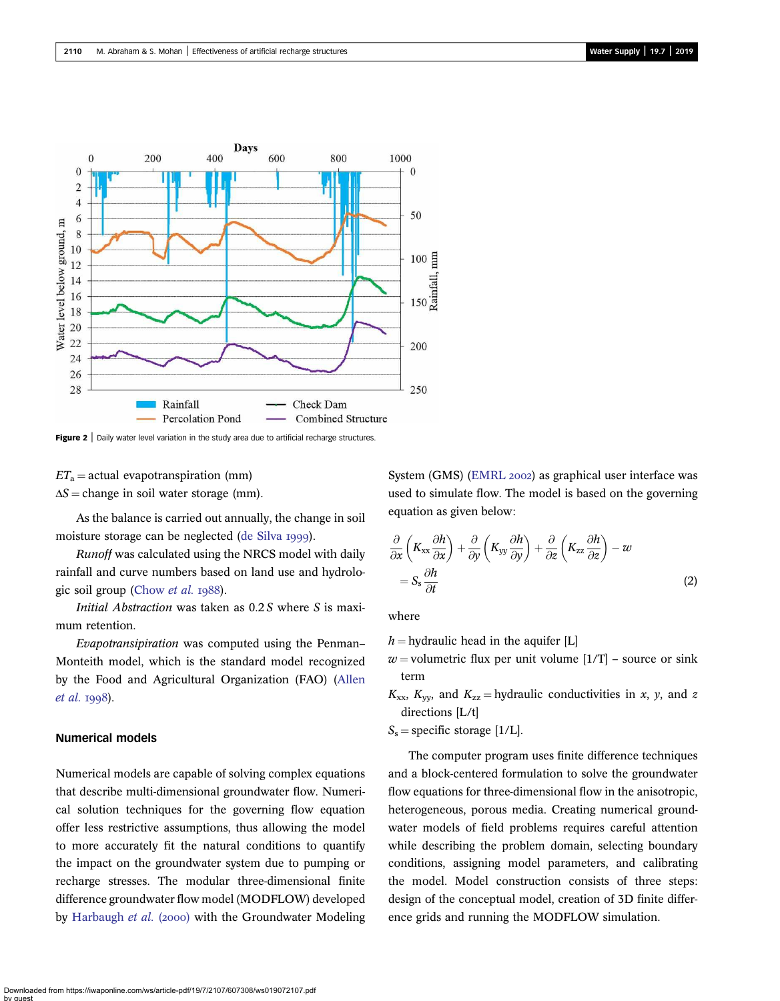

Figure 2 | Daily water level variation in the study area due to artificial recharge structures

 $ET_a$  = actual evapotranspiration (mm)  $\Delta S$  = change in soil water storage (mm).

As the balance is carried out annually, the change in soil moisture storage can be neglected (de Silva 1999).

*Runoff* was calculated using the NRCS model with daily rainfall and curve numbers based on land use and hydrologic soil group (Chow et al. 1988).

*Initial Abstraction* was taken as 0.2 *S* where *S* is maximum retention.

*Evapotransipiration* was computed using the Penman– Monteith model, which is the standard model recognized by the Food and Agricultural Organization (FAO) (Allen *et al.* 1998).

## Numerical models

Numerical models are capable of solving complex equations that describe multi-dimensional groundwater flow. Numerical solution techniques for the governing flow equation offer less restrictive assumptions, thus allowing the model to more accurately fit the natural conditions to quantify the impact on the groundwater system due to pumping or recharge stresses. The modular three-dimensional finite difference groundwater flow model (MODFLOW) developed by Harbaugh et al. (2000) with the Groundwater Modeling System (GMS) (EMRL 2002) as graphical user interface was used to simulate flow. The model is based on the governing equation as given below:

$$
\frac{\partial}{\partial x}\left(K_{xx}\frac{\partial h}{\partial x}\right) + \frac{\partial}{\partial y}\left(K_{yy}\frac{\partial h}{\partial y}\right) + \frac{\partial}{\partial z}\left(K_{zz}\frac{\partial h}{\partial z}\right) - w
$$
\n
$$
= S_s\frac{\partial h}{\partial t} \tag{2}
$$

where

- $h =$  hydraulic head in the aquifer [L]
- $w =$  volumetric flux per unit volume  $[1/T]$  source or sink term
- $K_{xx}$ ,  $K_{yy}$ , and  $K_{zz}$  = hydraulic conductivities in *x*, *y*, and *z* directions [L/t]
- $S_s$  = specific storage [1/L].

The computer program uses finite difference techniques and a block-centered formulation to solve the groundwater flow equations for three-dimensional flow in the anisotropic, heterogeneous, porous media. Creating numerical groundwater models of field problems requires careful attention while describing the problem domain, selecting boundary conditions, assigning model parameters, and calibrating the model. Model construction consists of three steps: design of the conceptual model, creation of 3D finite difference grids and running the MODFLOW simulation.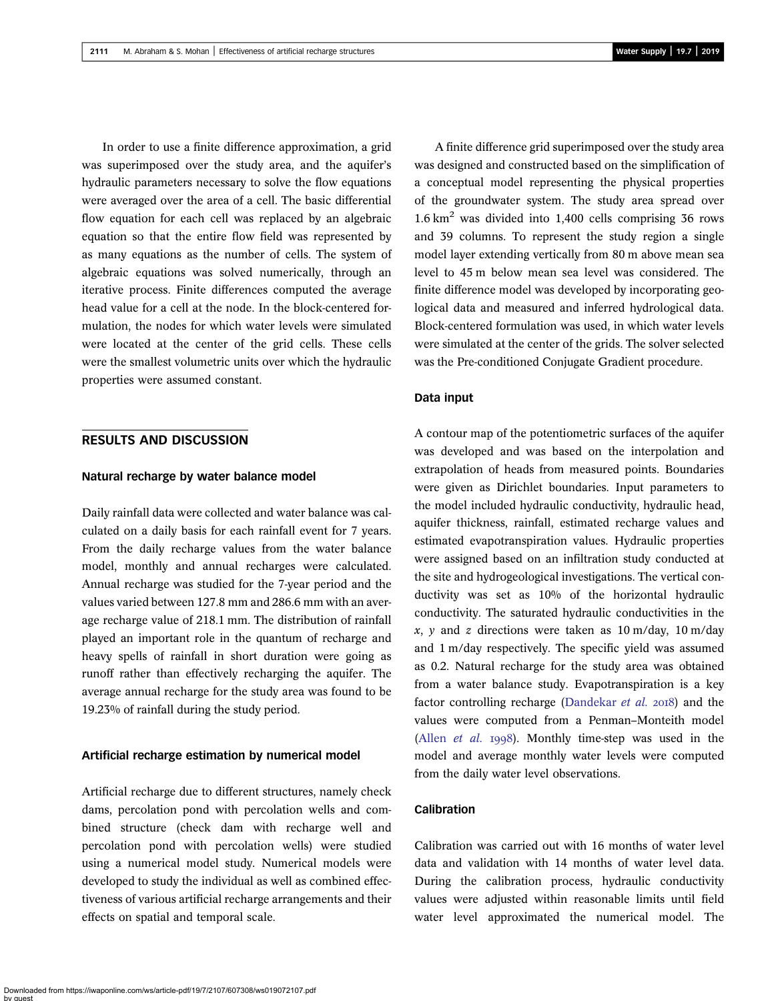In order to use a finite difference approximation, a grid was superimposed over the study area, and the aquifer's hydraulic parameters necessary to solve the flow equations were averaged over the area of a cell. The basic differential flow equation for each cell was replaced by an algebraic equation so that the entire flow field was represented by as many equations as the number of cells. The system of algebraic equations was solved numerically, through an iterative process. Finite differences computed the average head value for a cell at the node. In the block-centered formulation, the nodes for which water levels were simulated were located at the center of the grid cells. These cells were the smallest volumetric units over which the hydraulic properties were assumed constant.

# RESULTS AND DISCUSSION

#### Natural recharge by water balance model

Daily rainfall data were collected and water balance was calculated on a daily basis for each rainfall event for 7 years. From the daily recharge values from the water balance model, monthly and annual recharges were calculated. Annual recharge was studied for the 7-year period and the values varied between 127.8 mm and 286.6 mm with an average recharge value of 218.1 mm. The distribution of rainfall played an important role in the quantum of recharge and heavy spells of rainfall in short duration were going as runoff rather than effectively recharging the aquifer. The average annual recharge for the study area was found to be 19.23% of rainfall during the study period.

#### Artificial recharge estimation by numerical model

Artificial recharge due to different structures, namely check dams, percolation pond with percolation wells and combined structure (check dam with recharge well and percolation pond with percolation wells) were studied using a numerical model study. Numerical models were developed to study the individual as well as combined effectiveness of various artificial recharge arrangements and their effects on spatial and temporal scale.

A finite difference grid superimposed over the study area was designed and constructed based on the simplification of a conceptual model representing the physical properties of the groundwater system. The study area spread over 1.6 km<sup>2</sup> was divided into 1,400 cells comprising 36 rows and 39 columns. To represent the study region a single model layer extending vertically from 80 m above mean sea level to 45 m below mean sea level was considered. The finite difference model was developed by incorporating geological data and measured and inferred hydrological data. Block-centered formulation was used, in which water levels were simulated at the center of the grids. The solver selected was the Pre-conditioned Conjugate Gradient procedure.

## Data input

A contour map of the potentiometric surfaces of the aquifer was developed and was based on the interpolation and extrapolation of heads from measured points. Boundaries were given as Dirichlet boundaries. Input parameters to the model included hydraulic conductivity, hydraulic head, aquifer thickness, rainfall, estimated recharge values and estimated evapotranspiration values. Hydraulic properties were assigned based on an infiltration study conducted at the site and hydrogeological investigations. The vertical conductivity was set as 10% of the horizontal hydraulic conductivity. The saturated hydraulic conductivities in the  $x$ ,  $y$  and  $z$  directions were taken as 10 m/day, 10 m/day and 1 m/day respectively. The specific yield was assumed as 0.2. Natural recharge for the study area was obtained from a water balance study. Evapotranspiration is a key factor controlling recharge (Dandekar *et al.* 2018) and the values were computed from a Penman–Monteith model (Allen *et al.* 1998). Monthly time-step was used in the model and average monthly water levels were computed from the daily water level observations.

#### Calibration

Calibration was carried out with 16 months of water level data and validation with 14 months of water level data. During the calibration process, hydraulic conductivity values were adjusted within reasonable limits until field water level approximated the numerical model. The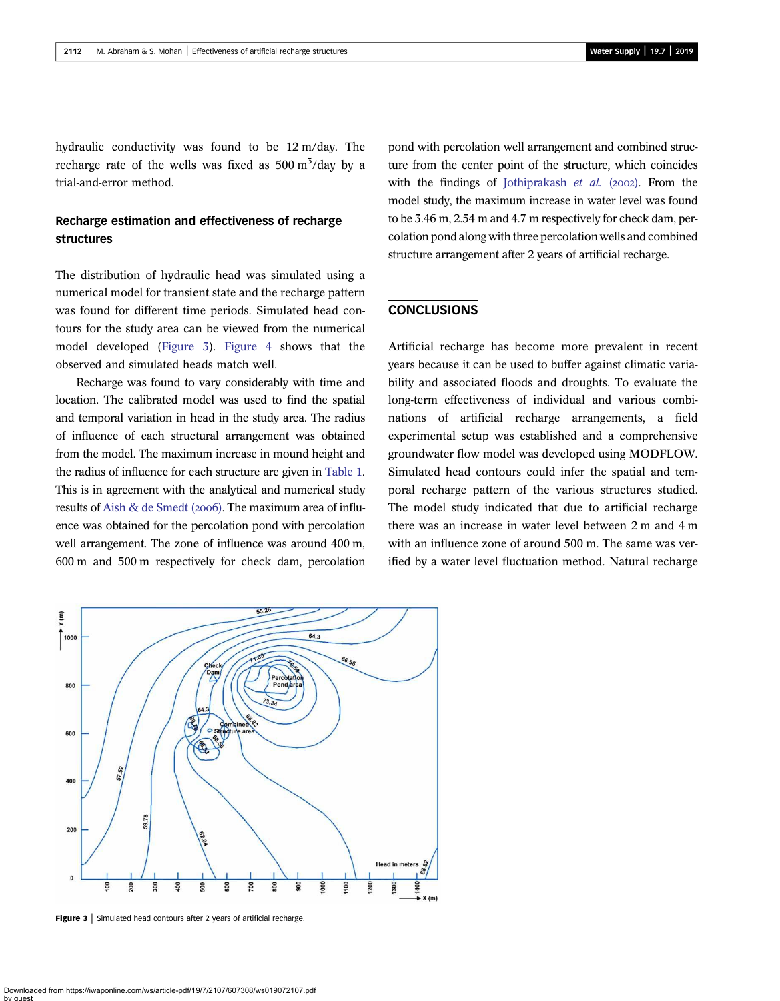hydraulic conductivity was found to be 12 m/day. The recharge rate of the wells was fixed as  $500 \text{ m}^3/\text{day}$  by a trial-and-error method.

# Recharge estimation and effectiveness of recharge structures

The distribution of hydraulic head was simulated using a numerical model for transient state and the recharge pattern was found for different time periods. Simulated head contours for the study area can be viewed from the numerical model developed (Figure 3). Figure 4 shows that the observed and simulated heads match well.

Recharge was found to vary considerably with time and location. The calibrated model was used to find the spatial and temporal variation in head in the study area. The radius of influence of each structural arrangement was obtained from the model. The maximum increase in mound height and the radius of influence for each structure are given in Table 1. This is in agreement with the analytical and numerical study results of Aish & de Smedt ( $2006$ ). The maximum area of influence was obtained for the percolation pond with percolation well arrangement. The zone of influence was around 400 m, 600 m and 500 m respectively for check dam, percolation pond with percolation well arrangement and combined structure from the center point of the structure, which coincides with the findings of Jothiprakash *et al.* (2002). From the model study, the maximum increase in water level was found to be 3.46 m, 2.54 m and 4.7 m respectively for check dam, percolation pond along with three percolation wells and combined structure arrangement after 2 years of artificial recharge.

# **CONCLUSIONS**

Artificial recharge has become more prevalent in recent years because it can be used to buffer against climatic variability and associated floods and droughts. To evaluate the long-term effectiveness of individual and various combinations of artificial recharge arrangements, a field experimental setup was established and a comprehensive groundwater flow model was developed using MODFLOW. Simulated head contours could infer the spatial and temporal recharge pattern of the various structures studied. The model study indicated that due to artificial recharge there was an increase in water level between 2 m and 4 m with an influence zone of around 500 m. The same was verified by a water level fluctuation method. Natural recharge



Figure 3 | Simulated head contours after 2 years of artificial recharge.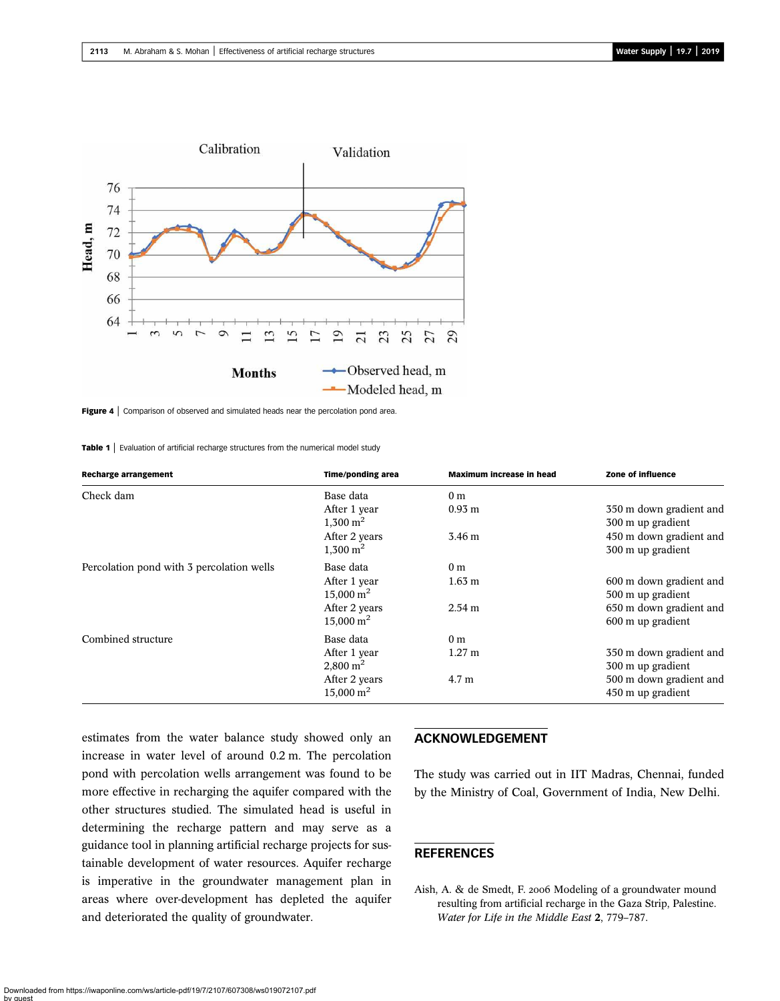

Figure 4 | Comparison of observed and simulated heads near the percolation pond area.

Table 1 | Evaluation of artificial recharge structures from the numerical model study

| <b>Recharge arrangement</b>               | <b>Time/ponding area</b> | <b>Maximum increase in head</b> | Zone of influence       |
|-------------------------------------------|--------------------------|---------------------------------|-------------------------|
| Check dam                                 | Base data                | 0 <sub>m</sub>                  |                         |
|                                           | After 1 year             | 0.93 <sub>m</sub>               | 350 m down gradient and |
|                                           | $1,300 \text{ m}^2$      |                                 | 300 m up gradient       |
|                                           | After 2 years            | 3.46 m                          | 450 m down gradient and |
|                                           | $1,300 \text{ m}^2$      |                                 | 300 m up gradient       |
| Percolation pond with 3 percolation wells | Base data                | 0 <sub>m</sub>                  |                         |
|                                           | After 1 year             | 1.63 <sub>m</sub>               | 600 m down gradient and |
|                                           | $15,000 \text{ m}^2$     |                                 | 500 m up gradient       |
|                                           | After 2 years            | $2.54 \text{ m}$                | 650 m down gradient and |
|                                           | $15,000 \text{ m}^2$     |                                 | 600 m up gradient       |
| Combined structure                        | Base data                | 0 <sub>m</sub>                  |                         |
|                                           | After 1 year             | $1.27 \text{ m}$                | 350 m down gradient and |
|                                           | $2,800 \text{ m}^2$      |                                 | 300 m up gradient       |
|                                           | After 2 years            | 4.7 <sub>m</sub>                | 500 m down gradient and |
|                                           | $15,000 \text{ m}^2$     |                                 | 450 m up gradient       |

estimates from the water balance study showed only an increase in water level of around 0.2 m. The percolation pond with percolation wells arrangement was found to be more effective in recharging the aquifer compared with the other structures studied. The simulated head is useful in determining the recharge pattern and may serve as a guidance tool in planning artificial recharge projects for sustainable development of water resources. Aquifer recharge is imperative in the groundwater management plan in areas where over-development has depleted the aquifer and deteriorated the quality of groundwater.

# ACKNOWLEDGEMENT

The study was carried out in IIT Madras, Chennai, funded by the Ministry of Coal, Government of India, New Delhi.

# **REFERENCES**

Aish, A. & de Smedt, F. 2006 Modeling of a groundwater mound resulting from artificial recharge in the Gaza Strip, Palestine. *Water for Life in the Middle East* 2, 779–787.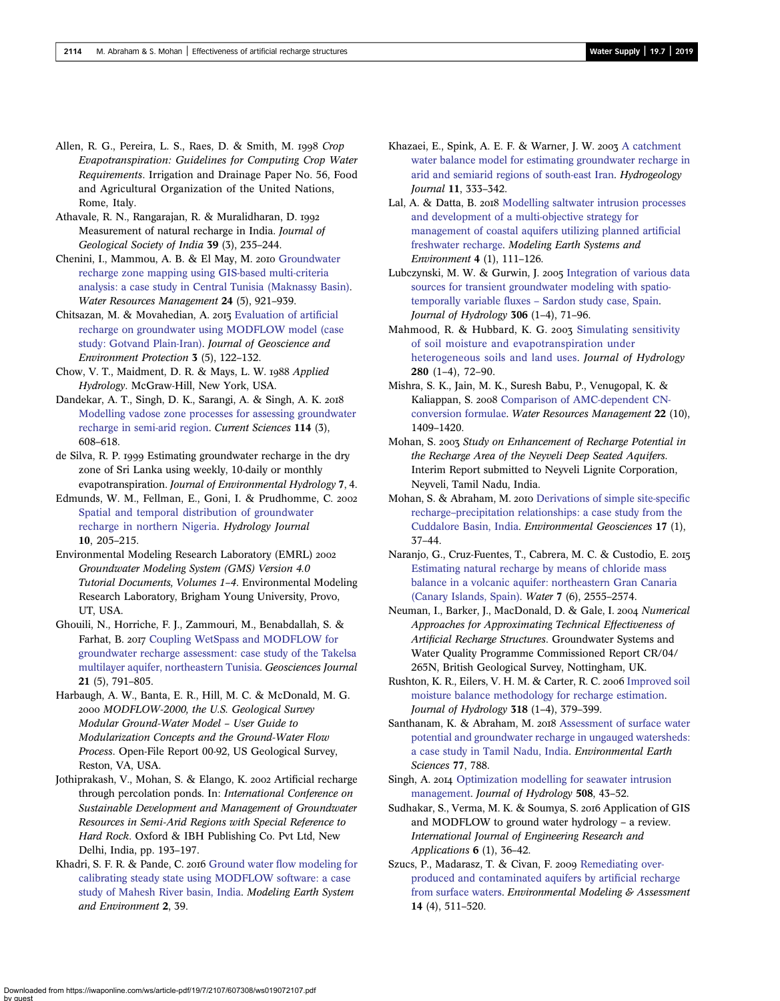- Allen, R. G., Pereira, L. S., Raes, D. & Smith, M. *Crop Evapotranspiration: Guidelines for Computing Crop Water Requirements*. Irrigation and Drainage Paper No. 56, Food and Agricultural Organization of the United Nations, Rome, Italy.
- Athavale, R. N., Rangarajan, R. & Muralidharan, D. Measurement of natural recharge in India. *Journal of Geological Society of India* 39 (3), 235–244.
- Chenini, I., Mammou, A. B. & El May, M. 2010 Groundwater recharge zone mapping using GIS-based multi-criteria analysis: a case study in Central Tunisia (Maknassy Basin). *Water Resources Management* 24 (5), 921–939.
- Chitsazan, M. & Movahedian, A. 2015 Evaluation of artificial recharge on groundwater using MODFLOW model (case study: Gotvand Plain-Iran). *Journal of Geoscience and Environment Protection* 3 (5), 122–132.
- Chow, V. T., Maidment, D. R. & Mays, L. W. 1988 Applied *Hydrology*. McGraw-Hill, New York, USA.
- Dandekar, A. T., Singh, D. K., Sarangi, A. & Singh, A. K. Modelling vadose zone processes for assessing groundwater recharge in semi-arid region. *Current Sciences* 114 (3), 608–618.
- de Silva, R. P. 1999 Estimating groundwater recharge in the dry zone of Sri Lanka using weekly, 10-daily or monthly evapotranspiration. *Journal of Environmental Hydrology* 7, 4.
- Edmunds, W. M., Fellman, E., Goni, I. & Prudhomme, C. Spatial and temporal distribution of groundwater recharge in northern Nigeria. *Hydrology Journal* 10, 205–215.
- Environmental Modeling Research Laboratory (EMRL) *Groundwater Modeling System (GMS) Version 4.0 Tutorial Documents, Volumes 1*–*4*. Environmental Modeling Research Laboratory, Brigham Young University, Provo, UT, USA.
- Ghouili, N., Horriche, F. J., Zammouri, M., Benabdallah, S. & Farhat, B. 2017 Coupling WetSpass and MODFLOW for groundwater recharge assessment: case study of the Takelsa multilayer aquifer, northeastern Tunisia. *Geosciences Journal* 21 (5), 791–805.
- Harbaugh, A. W., Banta, E. R., Hill, M. C. & McDonald, M. G. *MODFLOW-2000, the U.S. Geological Survey Modular Ground-Water Model* – *User Guide to Modularization Concepts and the Ground-Water Flow Process*. Open-File Report 00-92, US Geological Survey, Reston, VA, USA.
- Jothiprakash, V., Mohan, S. & Elango, K. 2002 Artificial recharge through percolation ponds. In: *International Conference on Sustainable Development and Management of Groundwater Resources in Semi-Arid Regions with Special Reference to Hard Rock*. Oxford & IBH Publishing Co. Pvt Ltd, New Delhi, India, pp. 193–197.
- Khadri, S. F. R. & Pande, C. 2016 Ground water flow modeling for calibrating steady state using MODFLOW software: a case study of Mahesh River basin, India. *Modeling Earth System and Environment* 2, 39.
- Khazaei, E., Spink, A. E. F. & Warner, J. W. 2003 A catchment water balance model for estimating groundwater recharge in arid and semiarid regions of south-east Iran. *Hydrogeology Journal* 11, 333–342.
- Lal, A. & Datta, B. 2018 Modelling saltwater intrusion processes and development of a multi-objective strategy for management of coastal aquifers utilizing planned artificial freshwater recharge. *Modeling Earth Systems and Environment* 4 (1), 111–126.
- Lubczynski, M. W. & Gurwin, J. 2005 Integration of various data sources for transient groundwater modeling with spatiotemporally variable fluxes – Sardon study case, Spain. *Journal of Hydrology* 306 (1–4), 71–96.
- Mahmood, R. & Hubbard, K. G. 2003 Simulating sensitivity of soil moisture and evapotranspiration under heterogeneous soils and land uses. *Journal of Hydrology* 280 (1–4), 72–90.
- Mishra, S. K., Jain, M. K., Suresh Babu, P., Venugopal, K. & Kaliappan, S. 2008 Comparison of AMC-dependent CNconversion formulae. *Water Resources Management* 22 (10), 1409–1420.
- Mohan, S. *Study on Enhancement of Recharge Potential in the Recharge Area of the Neyveli Deep Seated Aquifers*. Interim Report submitted to Neyveli Lignite Corporation, Neyveli, Tamil Nadu, India.
- Mohan, S. & Abraham, M. 2010 Derivations of simple site-specific recharge–precipitation relationships: a case study from the Cuddalore Basin, India. *Environmental Geosciences* 17 (1), 37–44.
- Naranjo, G., Cruz-Fuentes, T., Cabrera, M. C. & Custodio, E. Estimating natural recharge by means of chloride mass balance in a volcanic aquifer: northeastern Gran Canaria (Canary Islands, Spain). *Water* 7 (6), 2555–2574.
- Neuman, I., Barker, J., MacDonald, D. & Gale, I. *Numerical Approaches for Approximating Technical Effectiveness of Arti*fi*cial Recharge Structures*. Groundwater Systems and Water Quality Programme Commissioned Report CR/04/ 265N, British Geological Survey, Nottingham, UK.
- Rushton, K. R., Eilers, V. H. M. & Carter, R. C. 2006 Improved soil moisture balance methodology for recharge estimation. *Journal of Hydrology* 318 (1–4), 379–399.
- Santhanam, K. & Abraham, M. 2018 Assessment of surface water potential and groundwater recharge in ungauged watersheds: a case study in Tamil Nadu, India. *Environmental Earth Sciences* 77, 788.
- Singh, A. 2014 Optimization modelling for seawater intrusion management. *Journal of Hydrology* 508, 43–52.
- Sudhakar, S., Verma, M. K. & Soumya, S. 2016 Application of GIS and MODFLOW to ground water hydrology – a review. *International Journal of Engineering Research and Applications* 6 (1), 36–42.
- Szucs, P., Madarasz, T. & Civan, F. 2009 Remediating overproduced and contaminated aquifers by artificial recharge from surface waters. *Environmental Modeling & Assessment* 14 (4), 511–520.

Downloaded from https://iwaponline.com/ws/article-pdf/19/7/2107/607308/ws019072107.pdf by guest